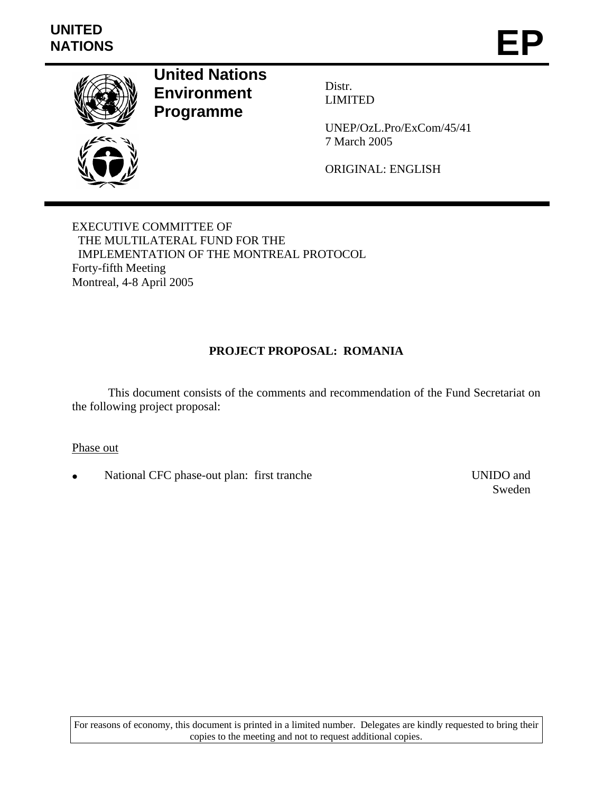

**United Nations Environment Programme** 

Distr. LIMITED

UNEP/OzL.Pro/ExCom/45/41 7 March 2005

ORIGINAL: ENGLISH

EXECUTIVE COMMITTEE OF THE MULTILATERAL FUND FOR THE IMPLEMENTATION OF THE MONTREAL PROTOCOL Forty-fifth Meeting Montreal, 4-8 April 2005

# **PROJECT PROPOSAL: ROMANIA**

 This document consists of the comments and recommendation of the Fund Secretariat on the following project proposal:

Phase out

• National CFC phase-out plan: first tranche UNIDO and

Sweden

For reasons of economy, this document is printed in a limited number. Delegates are kindly requested to bring their copies to the meeting and not to request additional copies.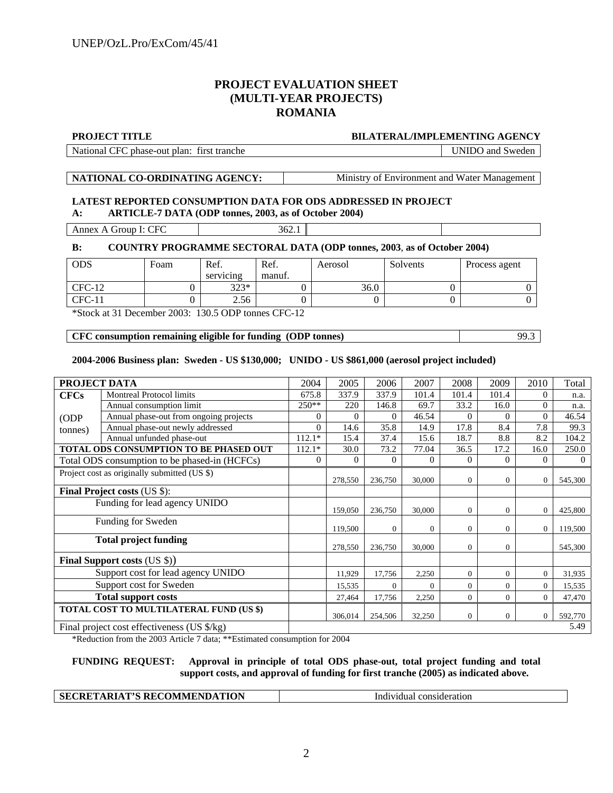## **PROJECT EVALUATION SHEET (MULTI-YEAR PROJECTS) ROMANIA**

#### **PROJECT TITLE BILATERAL/IMPLEMENTING AGENCY**

National CFC phase-out plan: first tranche UNIDO and Sweden

**NATIONAL CO-ORDINATING AGENCY:** Ministry of Environment and Water Management

#### **LATEST REPORTED CONSUMPTION DATA FOR ODS ADDRESSED IN PROJECT A: ARTICLE-7 DATA (ODP tonnes, 2003, as of October 2004)**

Annex A Group I: CFC 362.1

#### **B: COUNTRY PROGRAMME SECTORAL DATA (ODP tonnes, 2003**, **as of October 2004)**

| <b>ODS</b> | Foam | Ref.<br>servicing | Ref.<br>manuf. | Aerosol | Solvents | Process agent |
|------------|------|-------------------|----------------|---------|----------|---------------|
| $CFC-12$   |      | $323*$            |                | 36.0    |          |               |
| $CFC-11$   |      | 2.56              |                |         |          |               |

\*Stock at 31 December 2003: 130.5 ODP tonnes CFC-12

#### **CFC consumption remaining eligible for funding (ODP tonnes)** 99.3

#### **2004-2006 Business plan: Sweden - US \$130,000; UNIDO - US \$861,000 (aerosol project included)**

| PROJECT DATA                                 |                                               | 2004     | 2005     | 2006     | 2007     | 2008           | 2009           | 2010           | Total   |
|----------------------------------------------|-----------------------------------------------|----------|----------|----------|----------|----------------|----------------|----------------|---------|
| <b>CFCs</b>                                  | <b>Montreal Protocol limits</b>               | 675.8    | 337.9    | 337.9    | 101.4    | 101.4          | 101.4          | $\Omega$       | n.a.    |
|                                              | Annual consumption limit                      | $250**$  | 220      | 146.8    | 69.7     | 33.2           | 16.0           | $\overline{0}$ | n.a.    |
| (ODP                                         | Annual phase-out from ongoing projects        | $\Omega$ | $\Omega$ | $\Omega$ | 46.54    |                | $\Omega$       | $\Omega$       | 46.54   |
| tonnes)                                      | Annual phase-out newly addressed              | $\theta$ | 14.6     | 35.8     | 14.9     | 17.8           | 8.4            | 7.8            | 99.3    |
|                                              | Annual unfunded phase-out                     | $112.1*$ | 15.4     | 37.4     | 15.6     | 18.7           | 8.8            | 8.2            | 104.2   |
|                                              | TOTAL ODS CONSUMPTION TO BE PHASED OUT        | $112.1*$ | 30.0     | 73.2     | 77.04    | 36.5           | 17.2           | 16.0           | 250.0   |
|                                              | Total ODS consumption to be phased-in (HCFCs) | $\Omega$ | $\Omega$ | $\Omega$ | $\Omega$ | $\Omega$       | $\Omega$       | $\Omega$       | 0       |
| Project cost as originally submitted (US \$) |                                               |          | 278,550  | 236,750  | 30,000   | $\overline{0}$ | 0              | $\overline{0}$ | 545,300 |
| <b>Final Project costs (US \$):</b>          |                                               |          |          |          |          |                |                |                |         |
| Funding for lead agency UNIDO                |                                               |          | 159,050  | 236,750  | 30,000   | $\mathbf{0}$   | 0              | $\theta$       | 425,800 |
| Funding for Sweden                           |                                               |          | 119,500  | $\Omega$ | $\Omega$ | $\Omega$       | $\Omega$       | $\overline{0}$ | 119,500 |
| <b>Total project funding</b>                 |                                               |          | 278,550  | 236,750  | 30,000   | $\Omega$       | 0              |                | 545,300 |
|                                              | <b>Final Support costs (US \$))</b>           |          |          |          |          |                |                |                |         |
|                                              | Support cost for lead agency UNIDO            |          | 11,929   | 17,756   | 2,250    | $\mathbf{0}$   | $\overline{0}$ | $\theta$       | 31,935  |
| Support cost for Sweden                      |                                               |          | 15,535   | $\Omega$ | $\Omega$ | $\Omega$       | $\Omega$       | $\Omega$       | 15,535  |
| <b>Total support costs</b>                   |                                               |          | 27,464   | 17,756   | 2,250    | $\overline{0}$ | $\overline{0}$ | $\theta$       | 47,470  |
| TOTAL COST TO MULTILATERAL FUND (US \$)      |                                               |          | 306,014  | 254,506  | 32,250   | $\theta$       | $\overline{0}$ | $\mathbf{0}$   | 592,770 |
| Final project cost effectiveness (US \$/kg)  |                                               |          |          |          |          |                |                |                | 5.49    |

\*Reduction from the 2003 Article 7 data; \*\*Estimated consumption for 2004

#### **FUNDING REQUEST: Approval in principle of total ODS phase-out, total project funding and total support costs, and approval of funding for first tranche (2005) as indicated above.**

## **SECRETARIAT'S RECOMMENDATION** Individual consideration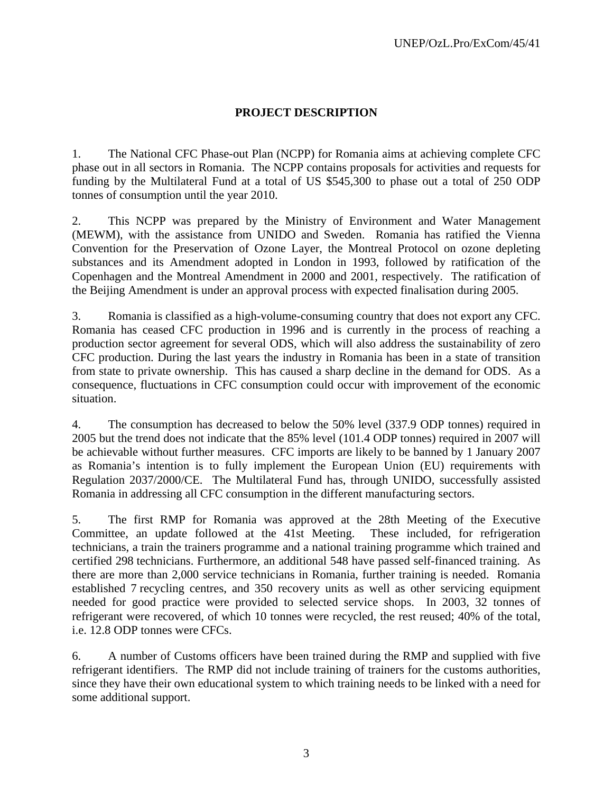# **PROJECT DESCRIPTION**

1. The National CFC Phase-out Plan (NCPP) for Romania aims at achieving complete CFC phase out in all sectors in Romania. The NCPP contains proposals for activities and requests for funding by the Multilateral Fund at a total of US \$545,300 to phase out a total of 250 ODP tonnes of consumption until the year 2010.

2. This NCPP was prepared by the Ministry of Environment and Water Management (MEWM), with the assistance from UNIDO and Sweden. Romania has ratified the Vienna Convention for the Preservation of Ozone Layer, the Montreal Protocol on ozone depleting substances and its Amendment adopted in London in 1993, followed by ratification of the Copenhagen and the Montreal Amendment in 2000 and 2001, respectively. The ratification of the Beijing Amendment is under an approval process with expected finalisation during 2005.

3. Romania is classified as a high-volume-consuming country that does not export any CFC. Romania has ceased CFC production in 1996 and is currently in the process of reaching a production sector agreement for several ODS, which will also address the sustainability of zero CFC production. During the last years the industry in Romania has been in a state of transition from state to private ownership. This has caused a sharp decline in the demand for ODS. As a consequence, fluctuations in CFC consumption could occur with improvement of the economic situation.

4. The consumption has decreased to below the 50% level (337.9 ODP tonnes) required in 2005 but the trend does not indicate that the 85% level (101.4 ODP tonnes) required in 2007 will be achievable without further measures. CFC imports are likely to be banned by 1 January 2007 as Romania's intention is to fully implement the European Union (EU) requirements with Regulation 2037/2000/CE. The Multilateral Fund has, through UNIDO, successfully assisted Romania in addressing all CFC consumption in the different manufacturing sectors.

5. The first RMP for Romania was approved at the 28th Meeting of the Executive Committee, an update followed at the 41st Meeting. These included, for refrigeration technicians, a train the trainers programme and a national training programme which trained and certified 298 technicians. Furthermore, an additional 548 have passed self-financed training. As there are more than 2,000 service technicians in Romania, further training is needed. Romania established 7 recycling centres, and 350 recovery units as well as other servicing equipment needed for good practice were provided to selected service shops. In 2003, 32 tonnes of refrigerant were recovered, of which 10 tonnes were recycled, the rest reused; 40% of the total, i.e. 12.8 ODP tonnes were CFCs.

6. A number of Customs officers have been trained during the RMP and supplied with five refrigerant identifiers. The RMP did not include training of trainers for the customs authorities, since they have their own educational system to which training needs to be linked with a need for some additional support.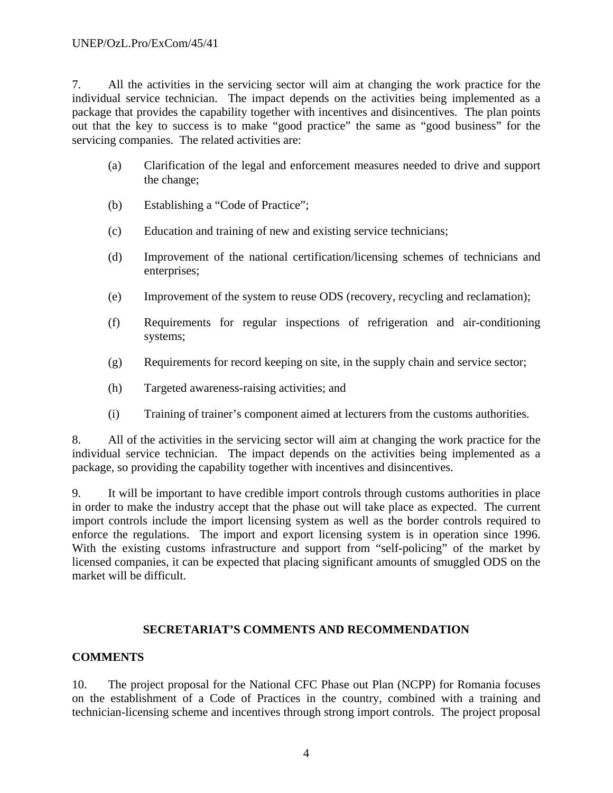7. All the activities in the servicing sector will aim at changing the work practice for the individual service technician. The impact depends on the activities being implemented as a package that provides the capability together with incentives and disincentives. The plan points out that the key to success is to make "good practice" the same as "good business" for the servicing companies. The related activities are:

- (a) Clarification of the legal and enforcement measures needed to drive and support the change;
- (b) Establishing a "Code of Practice";
- (c) Education and training of new and existing service technicians;
- (d) Improvement of the national certification/licensing schemes of technicians and enterprises;
- (e) Improvement of the system to reuse ODS (recovery, recycling and reclamation);
- (f) Requirements for regular inspections of refrigeration and air-conditioning systems;
- (g) Requirements for record keeping on site, in the supply chain and service sector;
- (h) Targeted awareness-raising activities; and
- (i) Training of trainer's component aimed at lecturers from the customs authorities.

8. All of the activities in the servicing sector will aim at changing the work practice for the individual service technician. The impact depends on the activities being implemented as a package, so providing the capability together with incentives and disincentives.

9. It will be important to have credible import controls through customs authorities in place in order to make the industry accept that the phase out will take place as expected. The current import controls include the import licensing system as well as the border controls required to enforce the regulations. The import and export licensing system is in operation since 1996. With the existing customs infrastructure and support from "self-policing" of the market by licensed companies, it can be expected that placing significant amounts of smuggled ODS on the market will be difficult.

# **SECRETARIAT'S COMMENTS AND RECOMMENDATION**

# **COMMENTS**

10. The project proposal for the National CFC Phase out Plan (NCPP) for Romania focuses on the establishment of a Code of Practices in the country, combined with a training and technician-licensing scheme and incentives through strong import controls. The project proposal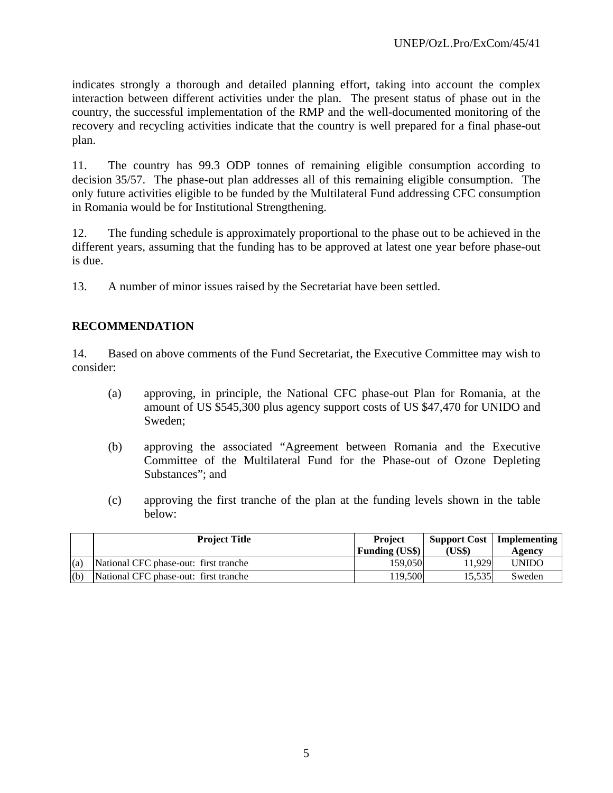indicates strongly a thorough and detailed planning effort, taking into account the complex interaction between different activities under the plan. The present status of phase out in the country, the successful implementation of the RMP and the well-documented monitoring of the recovery and recycling activities indicate that the country is well prepared for a final phase-out plan.

11. The country has 99.3 ODP tonnes of remaining eligible consumption according to decision 35/57. The phase-out plan addresses all of this remaining eligible consumption. The only future activities eligible to be funded by the Multilateral Fund addressing CFC consumption in Romania would be for Institutional Strengthening.

12. The funding schedule is approximately proportional to the phase out to be achieved in the different years, assuming that the funding has to be approved at latest one year before phase-out is due.

13. A number of minor issues raised by the Secretariat have been settled.

## **RECOMMENDATION**

14. Based on above comments of the Fund Secretariat, the Executive Committee may wish to consider:

- (a) approving, in principle, the National CFC phase-out Plan for Romania, at the amount of US \$545,300 plus agency support costs of US \$47,470 for UNIDO and Sweden;
- (b) approving the associated "Agreement between Romania and the Executive Committee of the Multilateral Fund for the Phase-out of Ozone Depleting Substances"; and
- (c) approving the first tranche of the plan at the funding levels shown in the table below:

|     | <b>Project Title</b>                  | <b>Project</b><br><b>Funding (US\$)</b> | (US\$)  | <b>Support Cost</b>   Implementing<br>Agency |
|-----|---------------------------------------|-----------------------------------------|---------|----------------------------------------------|
| (a) | National CFC phase-out: first tranche | 159,050                                 | 11.929  | <b>UNIDO</b>                                 |
| (b) | National CFC phase-out: first tranche | 119.500                                 | 15.5351 | Sweden                                       |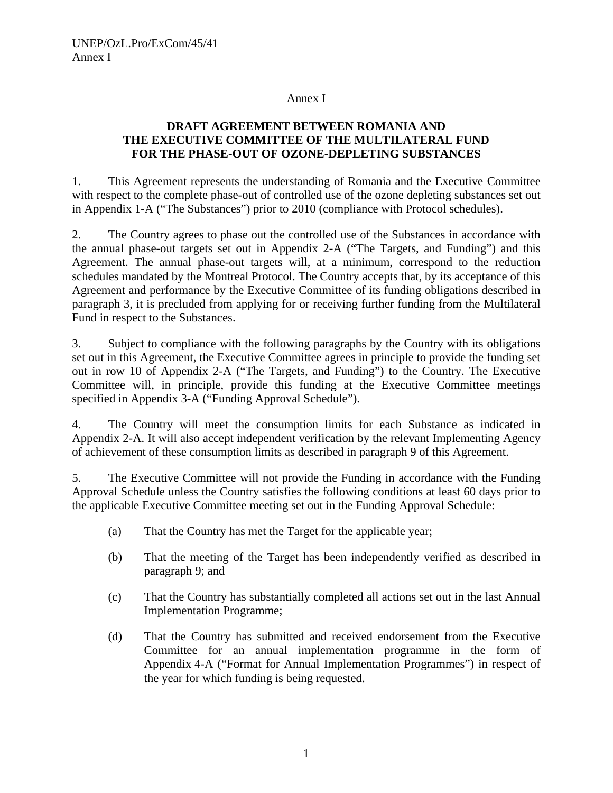## Annex I

# **DRAFT AGREEMENT BETWEEN ROMANIA AND THE EXECUTIVE COMMITTEE OF THE MULTILATERAL FUND FOR THE PHASE-OUT OF OZONE-DEPLETING SUBSTANCES**

1. This Agreement represents the understanding of Romania and the Executive Committee with respect to the complete phase-out of controlled use of the ozone depleting substances set out in Appendix 1-A ("The Substances") prior to 2010 (compliance with Protocol schedules).

2. The Country agrees to phase out the controlled use of the Substances in accordance with the annual phase-out targets set out in Appendix 2-A ("The Targets, and Funding") and this Agreement. The annual phase-out targets will, at a minimum, correspond to the reduction schedules mandated by the Montreal Protocol. The Country accepts that, by its acceptance of this Agreement and performance by the Executive Committee of its funding obligations described in paragraph 3, it is precluded from applying for or receiving further funding from the Multilateral Fund in respect to the Substances.

3. Subject to compliance with the following paragraphs by the Country with its obligations set out in this Agreement, the Executive Committee agrees in principle to provide the funding set out in row 10 of Appendix 2-A ("The Targets, and Funding") to the Country. The Executive Committee will, in principle, provide this funding at the Executive Committee meetings specified in Appendix 3-A ("Funding Approval Schedule").

4. The Country will meet the consumption limits for each Substance as indicated in Appendix 2-A. It will also accept independent verification by the relevant Implementing Agency of achievement of these consumption limits as described in paragraph 9 of this Agreement.

5. The Executive Committee will not provide the Funding in accordance with the Funding Approval Schedule unless the Country satisfies the following conditions at least 60 days prior to the applicable Executive Committee meeting set out in the Funding Approval Schedule:

- (a) That the Country has met the Target for the applicable year;
- (b) That the meeting of the Target has been independently verified as described in paragraph 9; and
- (c) That the Country has substantially completed all actions set out in the last Annual Implementation Programme;
- (d) That the Country has submitted and received endorsement from the Executive Committee for an annual implementation programme in the form of Appendix 4-A ("Format for Annual Implementation Programmes") in respect of the year for which funding is being requested.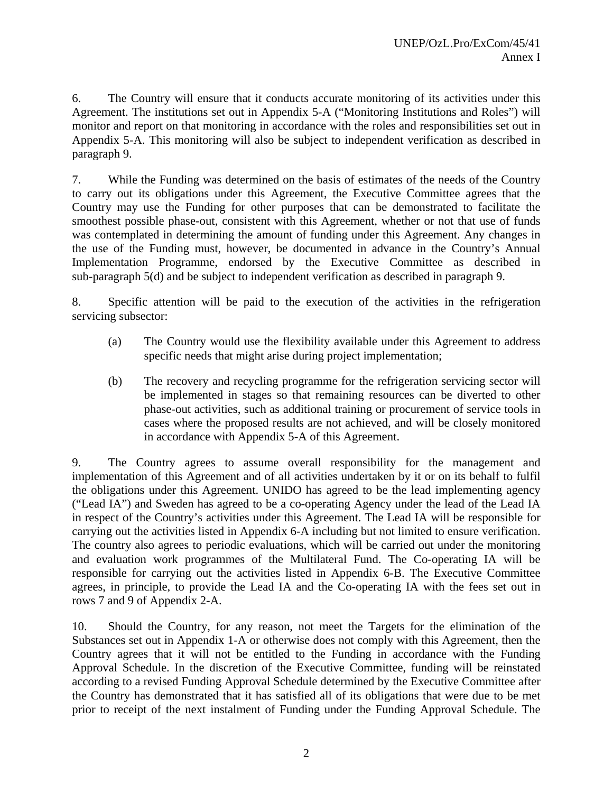6. The Country will ensure that it conducts accurate monitoring of its activities under this Agreement. The institutions set out in Appendix 5-A ("Monitoring Institutions and Roles") will monitor and report on that monitoring in accordance with the roles and responsibilities set out in Appendix 5-A. This monitoring will also be subject to independent verification as described in paragraph 9.

7. While the Funding was determined on the basis of estimates of the needs of the Country to carry out its obligations under this Agreement, the Executive Committee agrees that the Country may use the Funding for other purposes that can be demonstrated to facilitate the smoothest possible phase-out, consistent with this Agreement, whether or not that use of funds was contemplated in determining the amount of funding under this Agreement. Any changes in the use of the Funding must, however, be documented in advance in the Country's Annual Implementation Programme, endorsed by the Executive Committee as described in sub-paragraph 5(d) and be subject to independent verification as described in paragraph 9.

8. Specific attention will be paid to the execution of the activities in the refrigeration servicing subsector:

- (a) The Country would use the flexibility available under this Agreement to address specific needs that might arise during project implementation;
- (b) The recovery and recycling programme for the refrigeration servicing sector will be implemented in stages so that remaining resources can be diverted to other phase-out activities, such as additional training or procurement of service tools in cases where the proposed results are not achieved, and will be closely monitored in accordance with Appendix 5-A of this Agreement.

9. The Country agrees to assume overall responsibility for the management and implementation of this Agreement and of all activities undertaken by it or on its behalf to fulfil the obligations under this Agreement. UNIDO has agreed to be the lead implementing agency ("Lead IA") and Sweden has agreed to be a co-operating Agency under the lead of the Lead IA in respect of the Country's activities under this Agreement. The Lead IA will be responsible for carrying out the activities listed in Appendix 6-A including but not limited to ensure verification. The country also agrees to periodic evaluations, which will be carried out under the monitoring and evaluation work programmes of the Multilateral Fund. The Co-operating IA will be responsible for carrying out the activities listed in Appendix 6-B. The Executive Committee agrees, in principle, to provide the Lead IA and the Co-operating IA with the fees set out in rows 7 and 9 of Appendix 2-A.

10. Should the Country, for any reason, not meet the Targets for the elimination of the Substances set out in Appendix 1-A or otherwise does not comply with this Agreement, then the Country agrees that it will not be entitled to the Funding in accordance with the Funding Approval Schedule. In the discretion of the Executive Committee, funding will be reinstated according to a revised Funding Approval Schedule determined by the Executive Committee after the Country has demonstrated that it has satisfied all of its obligations that were due to be met prior to receipt of the next instalment of Funding under the Funding Approval Schedule. The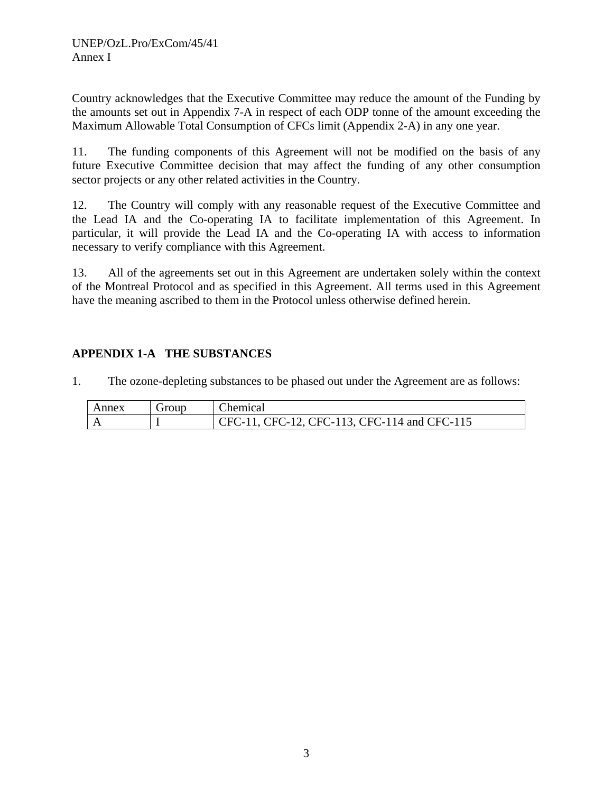Country acknowledges that the Executive Committee may reduce the amount of the Funding by the amounts set out in Appendix 7-A in respect of each ODP tonne of the amount exceeding the Maximum Allowable Total Consumption of CFCs limit (Appendix 2-A) in any one year.

11. The funding components of this Agreement will not be modified on the basis of any future Executive Committee decision that may affect the funding of any other consumption sector projects or any other related activities in the Country.

12. The Country will comply with any reasonable request of the Executive Committee and the Lead IA and the Co-operating IA to facilitate implementation of this Agreement. In particular, it will provide the Lead IA and the Co-operating IA with access to information necessary to verify compliance with this Agreement.

13. All of the agreements set out in this Agreement are undertaken solely within the context of the Montreal Protocol and as specified in this Agreement. All terms used in this Agreement have the meaning ascribed to them in the Protocol unless otherwise defined herein.

# **APPENDIX 1-A THE SUBSTANCES**

1. The ozone-depleting substances to be phased out under the Agreement are as follows:

| Annex | Group | Chemical                                              |
|-------|-------|-------------------------------------------------------|
|       |       | $\Gamma$ CFC-11, CFC-12, CFC-113, CFC-114 and CFC-115 |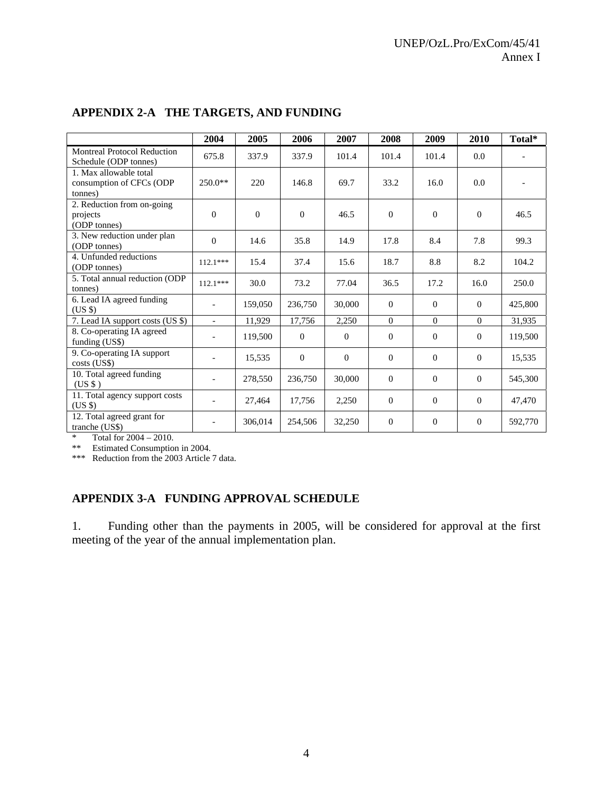|                                                               | 2004                     | 2005     | 2006     | 2007     | 2008         | 2009           | 2010     | Total*  |
|---------------------------------------------------------------|--------------------------|----------|----------|----------|--------------|----------------|----------|---------|
| Montreal Protocol Reduction<br>Schedule (ODP tonnes)          | 675.8                    | 337.9    | 337.9    | 101.4    | 101.4        | 101.4          | 0.0      |         |
| 1. Max allowable total<br>consumption of CFCs (ODP<br>tonnes) | $250.0**$                | 220      | 146.8    | 69.7     | 33.2         | 16.0           | 0.0      |         |
| 2. Reduction from on-going<br>projects<br>(ODP tonnes)        | $\Omega$                 | $\Omega$ | $\Omega$ | 46.5     | $\Omega$     | $\theta$       | $\Omega$ | 46.5    |
| 3. New reduction under plan<br>(ODP tonnes)                   | $\Omega$                 | 14.6     | 35.8     | 14.9     | 17.8         | 8.4            | 7.8      | 99.3    |
| 4. Unfunded reductions<br>(ODP tonnes)                        | $112.1***$               | 15.4     | 37.4     | 15.6     | 18.7         | 8.8            | 8.2      | 104.2   |
| 5. Total annual reduction (ODP<br>tonnes)                     | $112.1***$               | 30.0     | 73.2     | 77.04    | 36.5         | 17.2           | 16.0     | 250.0   |
| 6. Lead IA agreed funding<br>$(US \$                          | $\overline{\phantom{0}}$ | 159,050  | 236,750  | 30,000   | $\Omega$     | $\Omega$       | $\Omega$ | 425,800 |
| 7. Lead IA support costs (US \$)                              | $\overline{\phantom{a}}$ | 11,929   | 17,756   | 2,250    | $\Omega$     | $\Omega$       | $\Omega$ | 31,935  |
| 8. Co-operating IA agreed<br>funding (US\$)                   | $\overline{a}$           | 119,500  | $\Omega$ | $\Omega$ | $\Omega$     | $\Omega$       | $\Omega$ | 119,500 |
| 9. Co-operating IA support<br>$costs$ (US\$)                  |                          | 15,535   | $\Omega$ | $\Omega$ | $\Omega$     | $\Omega$       | $\Omega$ | 15,535  |
| 10. Total agreed funding<br>(USS)                             |                          | 278,550  | 236,750  | 30,000   | $\Omega$     | $\Omega$       | $\Omega$ | 545,300 |
| 11. Total agency support costs<br>$(US \$                     |                          | 27,464   | 17,756   | 2,250    | $\Omega$     | $\theta$       | $\Omega$ | 47,470  |
| 12. Total agreed grant for<br>tranche (US\$)                  |                          | 306,014  | 254,506  | 32,250   | $\mathbf{0}$ | $\overline{0}$ | $\theta$ | 592,770 |

# **APPENDIX 2-A THE TARGETS, AND FUNDING**

\* Total for 2004 – 2010.

\*\* Estimated Consumption in 2004.

\*\*\* Reduction from the 2003 Article 7 data.

# **APPENDIX 3-A FUNDING APPROVAL SCHEDULE**

1. Funding other than the payments in 2005, will be considered for approval at the first meeting of the year of the annual implementation plan.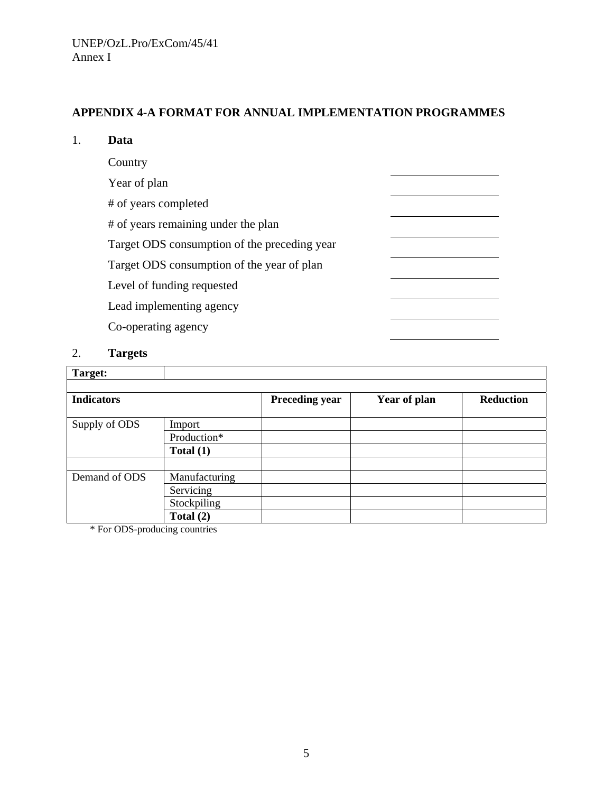# **APPENDIX 4-A FORMAT FOR ANNUAL IMPLEMENTATION PROGRAMMES**

# 1. **Data**

| Country                                      |  |
|----------------------------------------------|--|
| Year of plan                                 |  |
| # of years completed                         |  |
| # of years remaining under the plan          |  |
| Target ODS consumption of the preceding year |  |
| Target ODS consumption of the year of plan   |  |
| Level of funding requested                   |  |
| Lead implementing agency                     |  |
| Co-operating agency                          |  |
|                                              |  |

# 2. **Targets**

| Target:           |               |                       |              |                  |
|-------------------|---------------|-----------------------|--------------|------------------|
| <b>Indicators</b> |               | <b>Preceding year</b> | Year of plan | <b>Reduction</b> |
| Supply of ODS     | Import        |                       |              |                  |
|                   | Production*   |                       |              |                  |
|                   | Total $(1)$   |                       |              |                  |
|                   |               |                       |              |                  |
| Demand of ODS     | Manufacturing |                       |              |                  |
|                   | Servicing     |                       |              |                  |
|                   | Stockpiling   |                       |              |                  |
|                   | Total $(2)$   |                       |              |                  |

\* For ODS-producing countries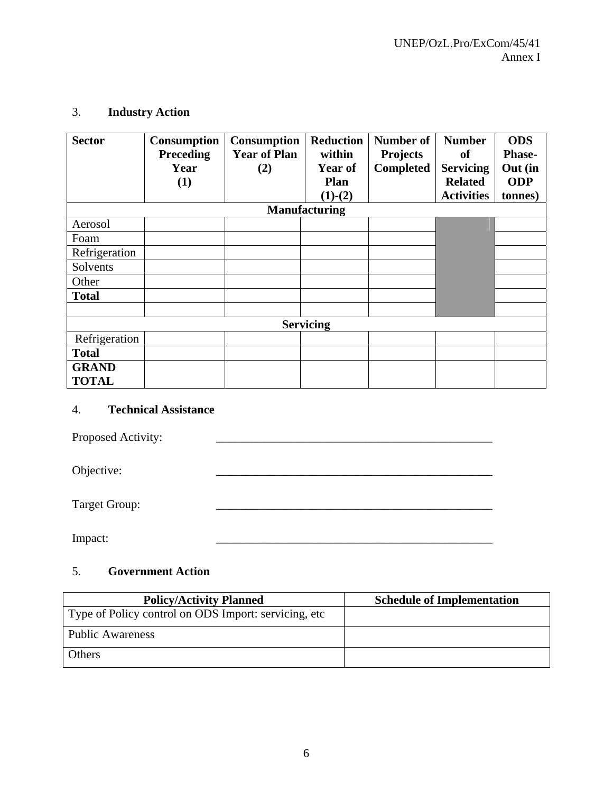# 3. **Industry Action**

| <b>Sector</b> | <b>Consumption</b> | <b>Consumption</b>  | <b>Reduction</b>     | Number of        | <b>Number</b>     | <b>ODS</b>    |
|---------------|--------------------|---------------------|----------------------|------------------|-------------------|---------------|
|               | <b>Preceding</b>   | <b>Year of Plan</b> | within               | <b>Projects</b>  | of                | <b>Phase-</b> |
|               | Year               | (2)                 | Year of              | <b>Completed</b> | <b>Servicing</b>  | Out (in       |
|               | (1)                |                     | <b>Plan</b>          |                  | <b>Related</b>    | <b>ODP</b>    |
|               |                    |                     | $(1)-(2)$            |                  | <b>Activities</b> | tonnes)       |
|               |                    |                     | <b>Manufacturing</b> |                  |                   |               |
| Aerosol       |                    |                     |                      |                  |                   |               |
| Foam          |                    |                     |                      |                  |                   |               |
| Refrigeration |                    |                     |                      |                  |                   |               |
| Solvents      |                    |                     |                      |                  |                   |               |
| Other         |                    |                     |                      |                  |                   |               |
| <b>Total</b>  |                    |                     |                      |                  |                   |               |
|               |                    |                     |                      |                  |                   |               |
|               |                    |                     | <b>Servicing</b>     |                  |                   |               |
| Refrigeration |                    |                     |                      |                  |                   |               |
| <b>Total</b>  |                    |                     |                      |                  |                   |               |
| <b>GRAND</b>  |                    |                     |                      |                  |                   |               |
| <b>TOTAL</b>  |                    |                     |                      |                  |                   |               |

# 4. **Technical Assistance**

Proposed Activity: \_\_\_\_\_\_\_\_\_\_\_\_\_\_\_\_\_\_\_\_\_\_\_\_\_\_\_\_\_\_\_\_\_\_\_\_\_\_\_\_\_\_\_\_\_\_

Objective:

Target Group: \_\_\_\_\_\_\_\_\_\_\_\_\_\_\_\_\_\_\_\_\_\_\_\_\_\_\_\_\_\_\_\_\_\_\_\_\_\_\_\_\_\_\_\_\_\_

Impact: \_\_\_\_\_\_\_\_\_\_\_\_\_\_\_\_\_\_\_\_\_\_\_\_\_\_\_\_\_\_\_\_\_\_\_\_\_\_\_\_\_\_\_\_\_\_

# 5. **Government Action**

| <b>Policy/Activity Planned</b>                        | <b>Schedule of Implementation</b> |
|-------------------------------------------------------|-----------------------------------|
| Type of Policy control on ODS Import: servicing, etc. |                                   |
| <b>Public Awareness</b>                               |                                   |
| <b>Others</b>                                         |                                   |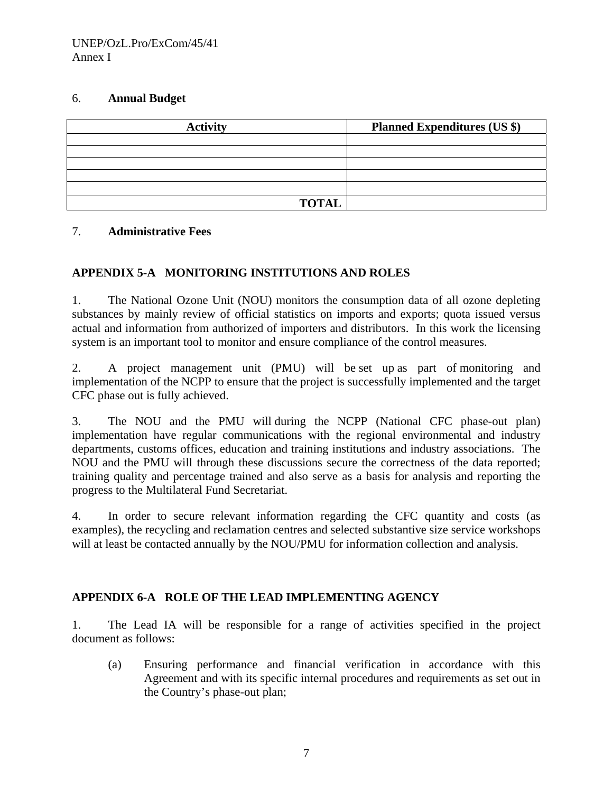## 6. **Annual Budget**

| <b>Activity</b> | <b>Planned Expenditures (US \$)</b> |
|-----------------|-------------------------------------|
|                 |                                     |
|                 |                                     |
|                 |                                     |
|                 |                                     |
|                 |                                     |
| <b>TOTAL</b>    |                                     |

# 7. **Administrative Fees**

# **APPENDIX 5-A MONITORING INSTITUTIONS AND ROLES**

1. The National Ozone Unit (NOU) monitors the consumption data of all ozone depleting substances by mainly review of official statistics on imports and exports; quota issued versus actual and information from authorized of importers and distributors. In this work the licensing system is an important tool to monitor and ensure compliance of the control measures.

2. A project management unit (PMU) will be set up as part of monitoring and implementation of the NCPP to ensure that the project is successfully implemented and the target CFC phase out is fully achieved.

3. The NOU and the PMU will during the NCPP (National CFC phase-out plan) implementation have regular communications with the regional environmental and industry departments, customs offices, education and training institutions and industry associations. The NOU and the PMU will through these discussions secure the correctness of the data reported; training quality and percentage trained and also serve as a basis for analysis and reporting the progress to the Multilateral Fund Secretariat.

4. In order to secure relevant information regarding the CFC quantity and costs (as examples), the recycling and reclamation centres and selected substantive size service workshops will at least be contacted annually by the NOU/PMU for information collection and analysis.

# **APPENDIX 6-A ROLE OF THE LEAD IMPLEMENTING AGENCY**

1. The Lead IA will be responsible for a range of activities specified in the project document as follows:

(a) Ensuring performance and financial verification in accordance with this Agreement and with its specific internal procedures and requirements as set out in the Country's phase-out plan;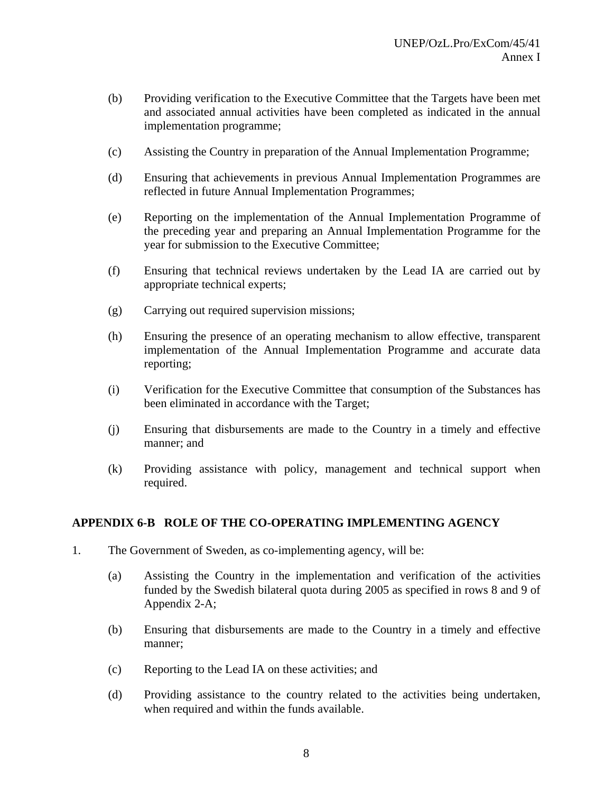- (b) Providing verification to the Executive Committee that the Targets have been met and associated annual activities have been completed as indicated in the annual implementation programme;
- (c) Assisting the Country in preparation of the Annual Implementation Programme;
- (d) Ensuring that achievements in previous Annual Implementation Programmes are reflected in future Annual Implementation Programmes;
- (e) Reporting on the implementation of the Annual Implementation Programme of the preceding year and preparing an Annual Implementation Programme for the year for submission to the Executive Committee;
- (f) Ensuring that technical reviews undertaken by the Lead IA are carried out by appropriate technical experts;
- (g) Carrying out required supervision missions;
- (h) Ensuring the presence of an operating mechanism to allow effective, transparent implementation of the Annual Implementation Programme and accurate data reporting;
- (i) Verification for the Executive Committee that consumption of the Substances has been eliminated in accordance with the Target;
- (j) Ensuring that disbursements are made to the Country in a timely and effective manner; and
- (k) Providing assistance with policy, management and technical support when required.

# **APPENDIX 6-B ROLE OF THE CO-OPERATING IMPLEMENTING AGENCY**

- 1. The Government of Sweden, as co-implementing agency, will be:
	- (a) Assisting the Country in the implementation and verification of the activities funded by the Swedish bilateral quota during 2005 as specified in rows 8 and 9 of Appendix 2-A;
	- (b) Ensuring that disbursements are made to the Country in a timely and effective manner;
	- (c) Reporting to the Lead IA on these activities; and
	- (d) Providing assistance to the country related to the activities being undertaken, when required and within the funds available.